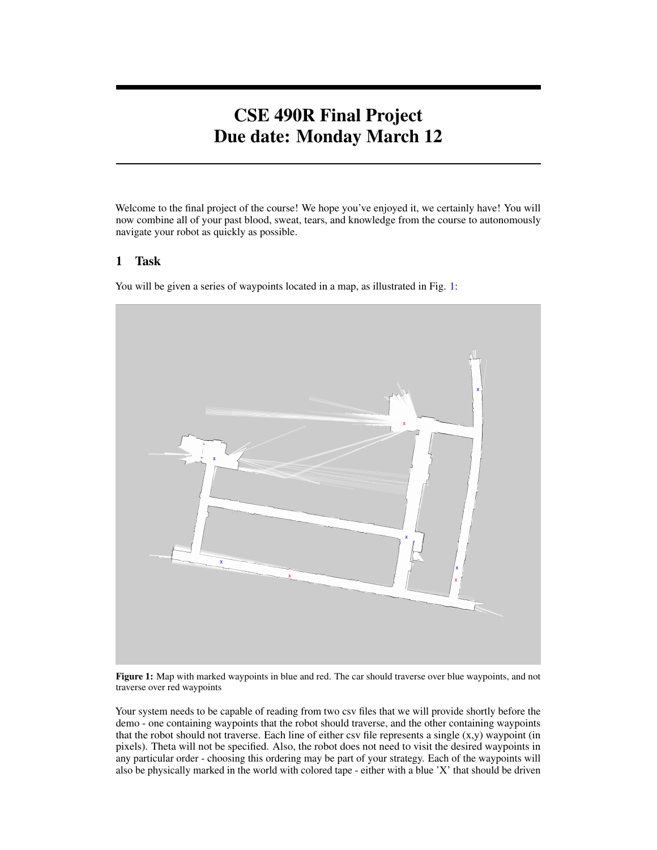# CSE 490R Final Project Due date: Monday March 12

Welcome to the final project of the course! We hope you've enjoyed it, we certainly have! You will now combine all of your past blood, sweat, tears, and knowledge from the course to autonomously navigate your robot as quickly as possible.

#### 1 Task

You will be given a series of waypoints located in a map, as illustrated in Fig. [1:](#page-0-0)

<span id="page-0-0"></span>

Figure 1: Map with marked waypoints in blue and red. The car should traverse over blue waypoints, and not traverse over red waypoints

Your system needs to be capable of reading from two csv files that we will provide shortly before the demo - one containing waypoints that the robot should traverse, and the other containing waypoints that the robot should not traverse. Each line of either csv file represents a single  $(x, y)$  waypoint (in pixels). Theta will not be specified. Also, the robot does not need to visit the desired waypoints in any particular order - choosing this ordering may be part of your strategy. Each of the waypoints will also be physically marked in the world with colored tape - either with a blue 'X' that should be driven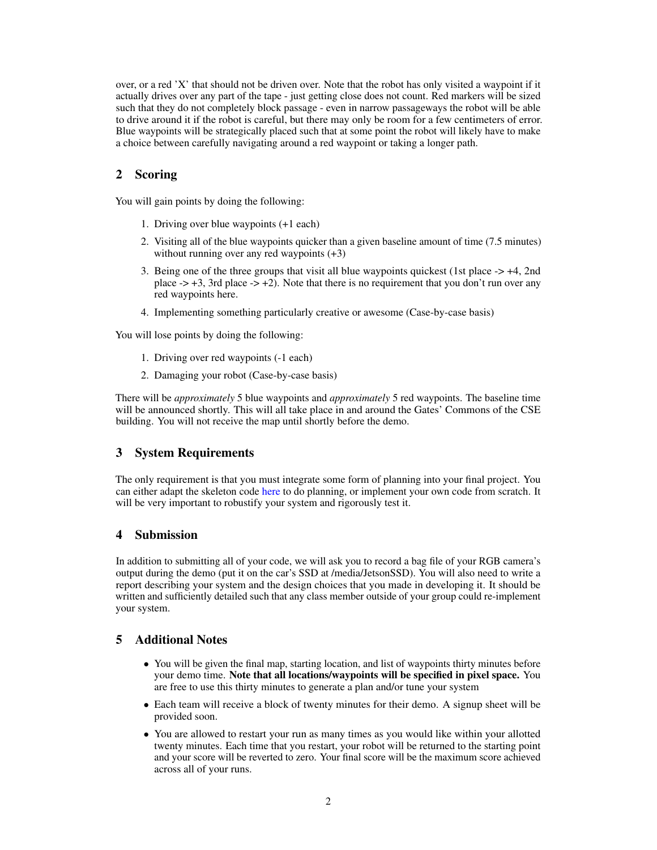over, or a red 'X' that should not be driven over. Note that the robot has only visited a waypoint if it actually drives over any part of the tape - just getting close does not count. Red markers will be sized such that they do not completely block passage - even in narrow passageways the robot will be able to drive around it if the robot is careful, but there may only be room for a few centimeters of error. Blue waypoints will be strategically placed such that at some point the robot will likely have to make a choice between carefully navigating around a red waypoint or taking a longer path.

## 2 Scoring

You will gain points by doing the following:

- 1. Driving over blue waypoints (+1 each)
- 2. Visiting all of the blue waypoints quicker than a given baseline amount of time (7.5 minutes) without running over any red waypoints  $(+3)$
- 3. Being one of the three groups that visit all blue waypoints quickest (1st place -> +4, 2nd place  $\rightarrow$  +3, 3rd place  $\rightarrow$  +2). Note that there is no requirement that you don't run over any red waypoints here.
- 4. Implementing something particularly creative or awesome (Case-by-case basis)

You will lose points by doing the following:

- 1. Driving over red waypoints (-1 each)
- 2. Damaging your robot (Case-by-case basis)

There will be *approximately* 5 blue waypoints and *approximately* 5 red waypoints. The baseline time will be announced shortly. This will all take place in and around the Gates' Commons of the CSE building. You will not receive the map until shortly before the demo.

#### 3 System Requirements

The only requirement is that you must integrate some form of planning into your final project. You can either adapt the skeleton code [here](https://gitlab.cs.washington.edu/cse490r_18wi/lab4) to do planning, or implement your own code from scratch. It will be very important to robustify your system and rigorously test it.

#### 4 Submission

In addition to submitting all of your code, we will ask you to record a bag file of your RGB camera's output during the demo (put it on the car's SSD at /media/JetsonSSD). You will also need to write a report describing your system and the design choices that you made in developing it. It should be written and sufficiently detailed such that any class member outside of your group could re-implement your system.

### 5 Additional Notes

- You will be given the final map, starting location, and list of waypoints thirty minutes before your demo time. Note that all locations/waypoints will be specified in pixel space. You are free to use this thirty minutes to generate a plan and/or tune your system
- Each team will receive a block of twenty minutes for their demo. A signup sheet will be provided soon.
- You are allowed to restart your run as many times as you would like within your allotted twenty minutes. Each time that you restart, your robot will be returned to the starting point and your score will be reverted to zero. Your final score will be the maximum score achieved across all of your runs.